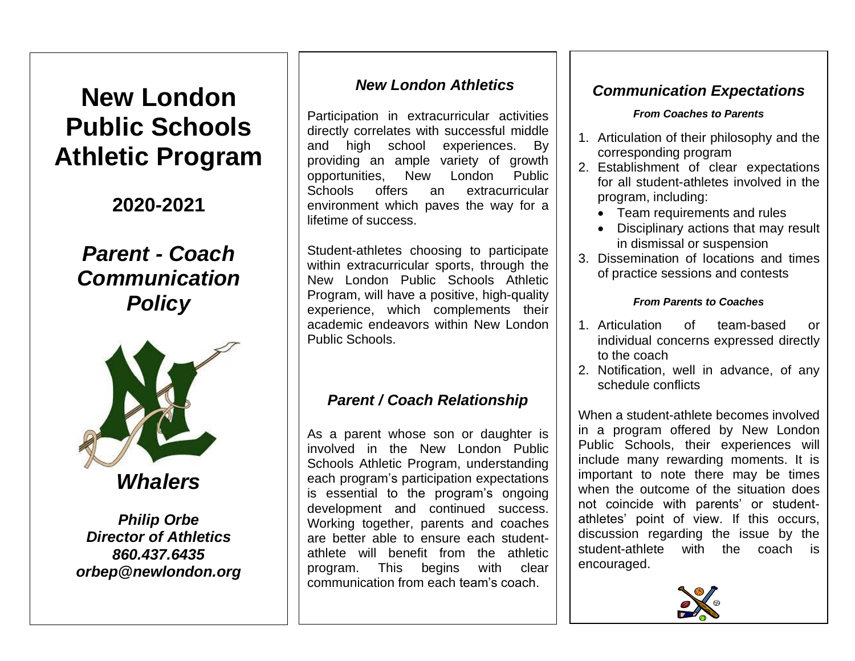# **New London Public Schools Athletic Program**

**2020-2021**

## *Parent - Coach Communication Policy*



*Whalers*

*Philip Orbe Director of Athletics 860.437.6435 orbep@newlondon.org*

## *New London Athletics*

Participation in extracurricular activities directly correlates with successful middle and high school experiences. By providing an ample variety of growth opportunities, New London Public Schools offers an extracurricular environment which paves the way for a lifetime of success.

Student-athletes choosing to participate within extracurricular sports, through the New London Public Schools Athletic Program, will have a positive, high-quality experience, which complements their academic endeavors within New London Public Schools.

## *Parent / Coach Relationship*

As a parent whose son or daughter is involved in the New London Public Schools Athletic Program, understanding each program's participation expectations is essential to the program's ongoing development and continued success. Working together, parents and coaches are better able to ensure each studentathlete will benefit from the athletic program. This begins with clear communication from each team's coach.

## *Communication Expectations*

#### *From Coaches to Parents*

- 1. Articulation of their philosophy and the corresponding program
- 2. Establishment of clear expectations for all student-athletes involved in the program, including:
	- Team requirements and rules
	- Disciplinary actions that may result in dismissal or suspension
- 3. Dissemination of locations and times of practice sessions and contests

### *From Parents to Coaches*

- 1. Articulation of team-based or individual concerns expressed directly to the coach
- 2. Notification, well in advance, of any schedule conflicts

When a student-athlete becomes involved in a program offered by New London Public Schools, their experiences will include many rewarding moments. It is important to note there may be times when the outcome of the situation does not coincide with parents' or studentathletes' point of view. If this occurs, discussion regarding the issue by the student-athlete with the coach is encouraged.